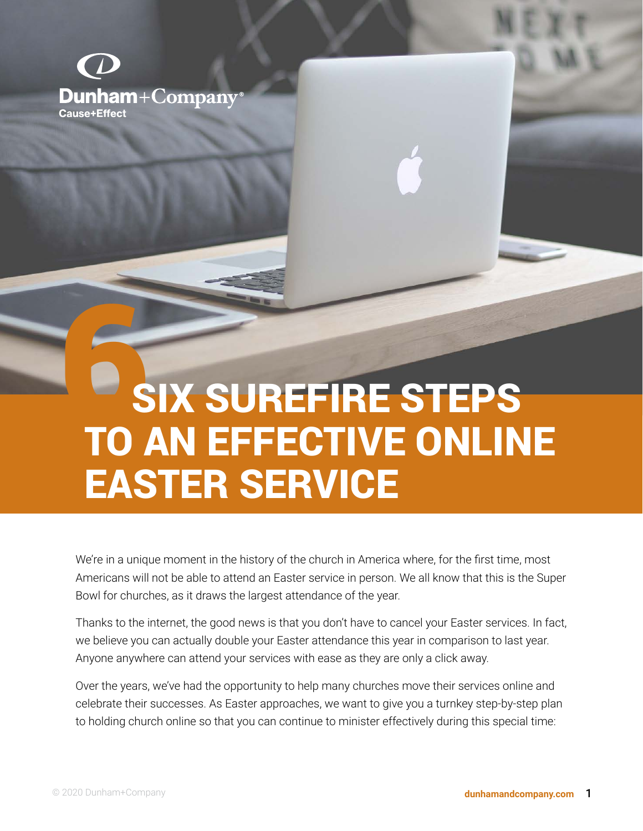

# 6 SIX SUREFIRE STEPS TO AN EFFECTIVE ONLINE EASTER SERVICE

We're in a unique moment in the history of the church in America where, for the first time, most Americans will not be able to attend an Easter service in person. We all know that this is the Super Bowl for churches, as it draws the largest attendance of the year.

Thanks to the internet, the good news is that you don't have to cancel your Easter services. In fact, we believe you can actually double your Easter attendance this year in comparison to last year. Anyone anywhere can attend your services with ease as they are only a click away.

Over the years, we've had the opportunity to help many churches move their services online and celebrate their successes. As Easter approaches, we want to give you a turnkey step-by-step plan to holding church online so that you can continue to minister effectively during this special time: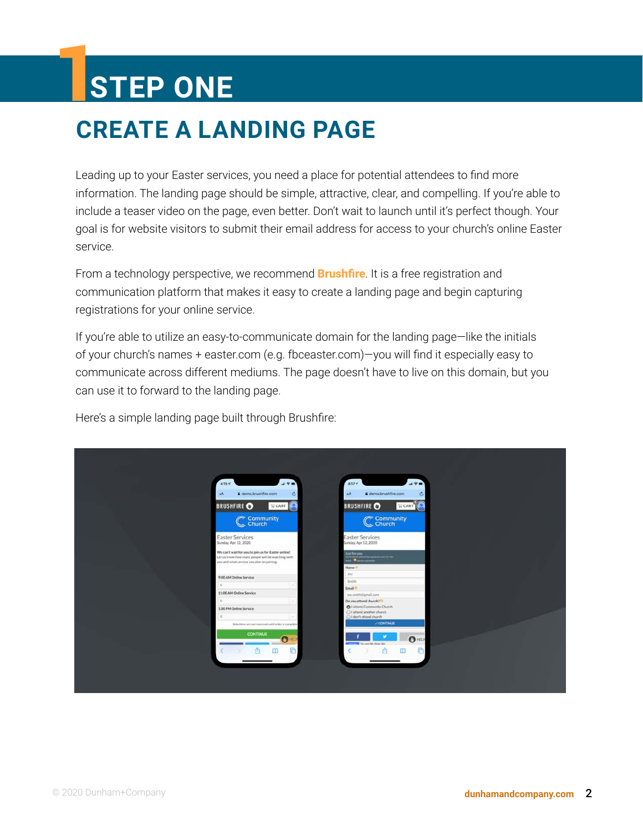## 1**STEP ONE**

## **CREATE A LANDING PAGE**

Leading up to your Easter services, you need a place for potential attendees to find more information. The landing page should be simple, attractive, clear, and compelling. If you're able to include a teaser video on the page, even better. Don't wait to launch until it's perfect though. Your goal is for website visitors to submit their email address for access to your church's online Easter service.

From a technology perspective, we recommend **[Brushfire](https://www.brushfire.com/)**. It is a free registration and communication platform that makes it easy to create a landing page and begin capturing registrations for your online service.

If you're able to utilize an easy-to-communicate domain for the landing page—like the initials of your church's names + easter.com (e.g. fbceaster.com)—you will find it especially easy to communicate across different mediums. The page doesn't have to live on this domain, but you can use it to forward to the landing page.

Here's a simple landing page built through Brushfire:

| 4:15 <sub>7</sub>                                                                                                                                     | 490       | 4:17.9<br>$49 -$                                                                                                                                     |  |
|-------------------------------------------------------------------------------------------------------------------------------------------------------|-----------|------------------------------------------------------------------------------------------------------------------------------------------------------|--|
| demo.brushfire.com<br><b>AA</b>                                                                                                                       | ċ.        | a demo.brushfire.com<br>C<br>AA                                                                                                                      |  |
| BRUSHFIRE O<br><b>WCART</b>                                                                                                                           |           | BRUSHFIRE O<br>$\mathbb{R}$ CART                                                                                                                     |  |
| C Community                                                                                                                                           |           | C Community                                                                                                                                          |  |
| <b>Easter Services</b><br>Sunday, Apr 12, 2020                                                                                                        |           | <b>Easter Services</b><br>Sunday, Apr 12, 2020                                                                                                       |  |
| We can't wait for you to join us for Easter online!<br>Let us know how many people will be watching with<br>you and what service you plan on joining. |           | $\frac{1}{2}$ and the specs $\frac{1}{2}$ and $\frac{1}{2}$ . The mass constant section is the first section of $\frac{1}{2}$<br>Name <sup>(2)</sup> |  |
| 9:00 AM Online Service                                                                                                                                |           | <b>Joe</b>                                                                                                                                           |  |
| D.                                                                                                                                                    |           | Smith<br>Email O                                                                                                                                     |  |
| 11:00 AM Online Service                                                                                                                               |           | joesmith@gmail.com                                                                                                                                   |  |
| $\Omega$                                                                                                                                              |           | Do you attend church? O                                                                                                                              |  |
| 1:00 PM Online Service                                                                                                                                |           | O I attend Community Church<br>C I attend another church                                                                                             |  |
| O.                                                                                                                                                    |           | B I don't attend church                                                                                                                              |  |
| Selections are not reserved until order is complete.                                                                                                  |           | <b>CONTINUE</b>                                                                                                                                      |  |
| <b>CONTINUE</b>                                                                                                                                       | $\bullet$ | $0$ HELP                                                                                                                                             |  |
|                                                                                                                                                       |           | <b>CALIFORNIA WAS ARRESTED FOR A</b><br>m<br>m                                                                                                       |  |
|                                                                                                                                                       |           |                                                                                                                                                      |  |
|                                                                                                                                                       |           |                                                                                                                                                      |  |
|                                                                                                                                                       |           |                                                                                                                                                      |  |
|                                                                                                                                                       |           |                                                                                                                                                      |  |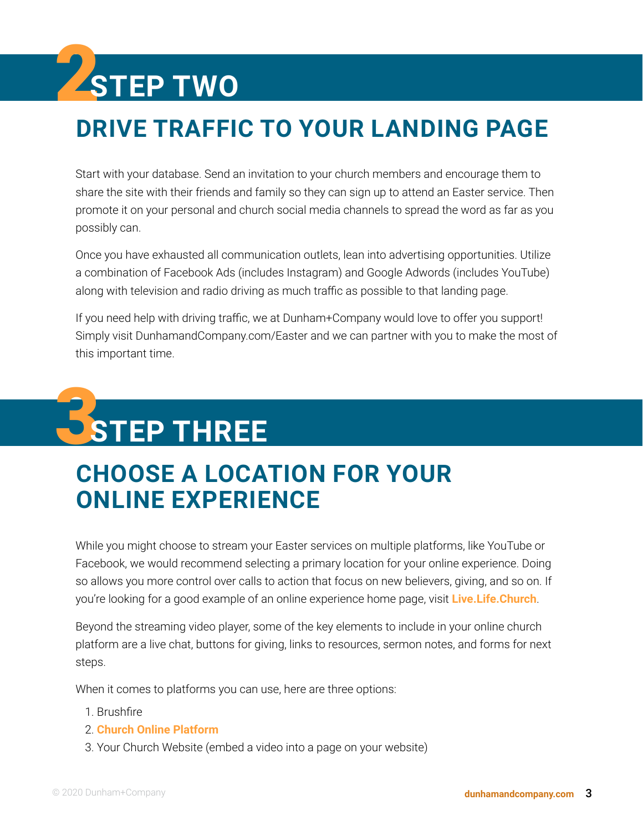# 2**STEP TWO**

## **DRIVE TRAFFIC TO YOUR LANDING PAGE**

Start with your database. Send an invitation to your church members and encourage them to share the site with their friends and family so they can sign up to attend an Easter service. Then promote it on your personal and church social media channels to spread the word as far as you possibly can.

Once you have exhausted all communication outlets, lean into advertising opportunities. Utilize a combination of Facebook Ads (includes Instagram) and Google Adwords (includes YouTube) along with television and radio driving as much traffic as possible to that landing page.

If you need help with driving traffic, we at Dunham+Company would love to offer you support! Simply visit DunhamandCompany.com/Easter and we can partner with you to make the most of this important time.

# 3 **STEP THREE**

## **CHOOSE A LOCATION FOR YOUR ONLINE EXPERIENCE**

While you might choose to stream your Easter services on multiple platforms, like YouTube or Facebook, we would recommend selecting a primary location for your online experience. Doing so allows you more control over calls to action that focus on new believers, giving, and so on. If you're looking for a good example of an online experience home page, visit **[Live.Life.Church](https://live.life.church/)**.

Beyond the streaming video player, some of the key elements to include in your online church platform are a live chat, buttons for giving, links to resources, sermon notes, and forms for next steps.

When it comes to platforms you can use, here are three options:

- 1. Brushfire
- 2. **[Church Online Platform](https://churchonlineplatform.com/)**
- 3. Your Church Website (embed a video into a page on your website)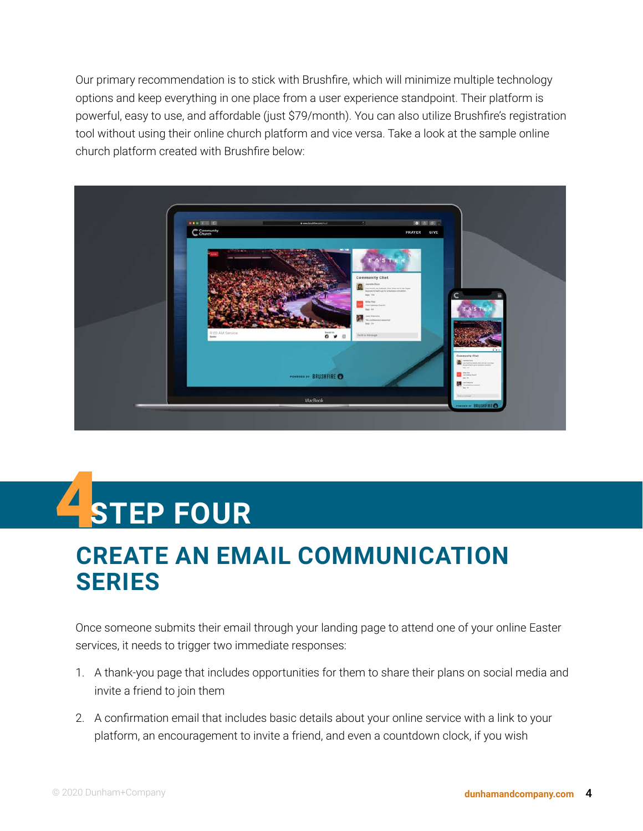Our primary recommendation is to stick with Brushfire, which will minimize multiple technology options and keep everything in one place from a user experience standpoint. Their platform is powerful, easy to use, and affordable (just \$79/month). You can also utilize Brushfire's registration tool without using their online church platform and vice versa. Take a look at the sample online church platform created with Brushfire below:



# 4 **STEP FOUR**

### **CREATE AN EMAIL COMMUNICATION SERIES**

Once someone submits their email through your landing page to attend one of your online Easter services, it needs to trigger two immediate responses:

- 1. A thank-you page that includes opportunities for them to share their plans on social media and invite a friend to join them
- 2. A confirmation email that includes basic details about your online service with a link to your platform, an encouragement to invite a friend, and even a countdown clock, if you wish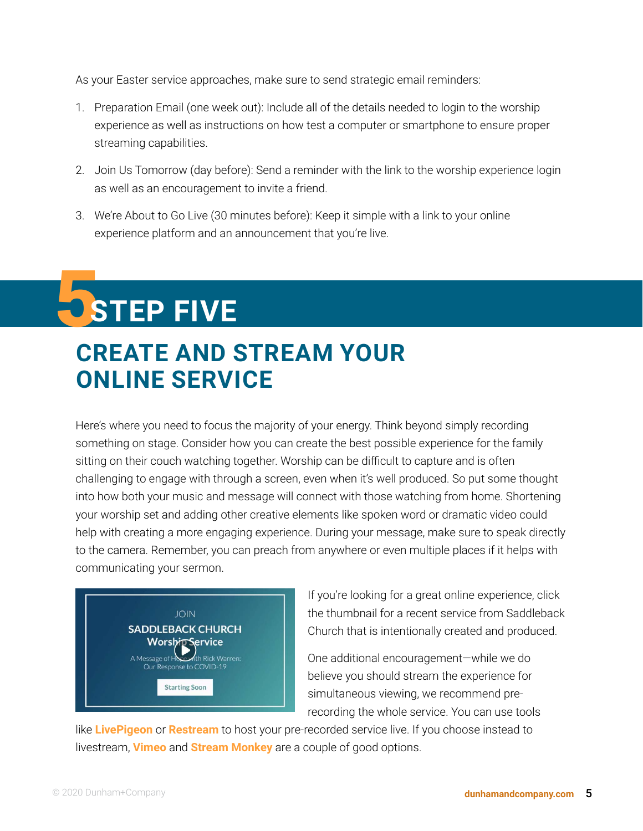As your Easter service approaches, make sure to send strategic email reminders:

- 1. Preparation Email (one week out): Include all of the details needed to login to the worship experience as well as instructions on how test a computer or smartphone to ensure proper streaming capabilities.
- 2. Join Us Tomorrow (day before): Send a reminder with the link to the worship experience login as well as an encouragement to invite a friend.
- 3. We're About to Go Live (30 minutes before): Keep it simple with a link to your online experience platform and an announcement that you're live.

# 5 **STEP FIVE**

### **CREATE AND STREAM YOUR ONLINE SERVICE**

Here's where you need to focus the majority of your energy. Think beyond simply recording something on stage. Consider how you can create the best possible experience for the family sitting on their couch watching together. Worship can be difficult to capture and is often challenging to engage with through a screen, even when it's well produced. So put some thought into how both your music and message will connect with those watching from home. Shortening your worship set and adding other creative elements like spoken word or dramatic video could help with creating a more engaging experience. During your message, make sure to speak directly to the camera. Remember, you can preach from anywhere or even multiple places if it helps with communicating your sermon.



If you're looking for a great online experience, click the thumbnail for a recent service from Saddleback Church that is intentionally created and produced.

One additional encouragement—while we do believe you should stream the experience for [s](https://www.facebook.com/saddlebackchurch/videos/260183331652380)imultaneous viewing, we recommend prerecording the whole service. You can use tools

like **[LivePigeon](http://livepigeon.com)** or **[Restream](http://restream.io)** to host your pre-recorded service live. If you choose instead to livestream, **[Vimeo](https://vimeo.com/features/livestreaming)** and **[Stream Monkey](http://streammonkey.com)** are a couple of good options.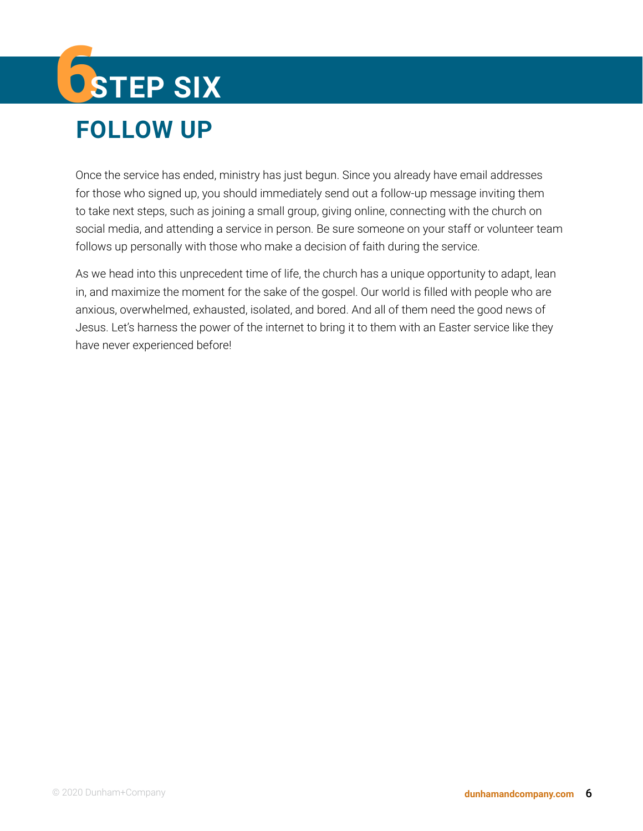# 6**STEP SIX FOLLOW UP**

Once the service has ended, ministry has just begun. Since you already have email addresses for those who signed up, you should immediately send out a follow-up message inviting them to take next steps, such as joining a small group, giving online, connecting with the church on social media, and attending a service in person. Be sure someone on your staff or volunteer team follows up personally with those who make a decision of faith during the service.

As we head into this unprecedent time of life, the church has a unique opportunity to adapt, lean in, and maximize the moment for the sake of the gospel. Our world is filled with people who are anxious, overwhelmed, exhausted, isolated, and bored. And all of them need the good news of Jesus. Let's harness the power of the internet to bring it to them with an Easter service like they have never experienced before!